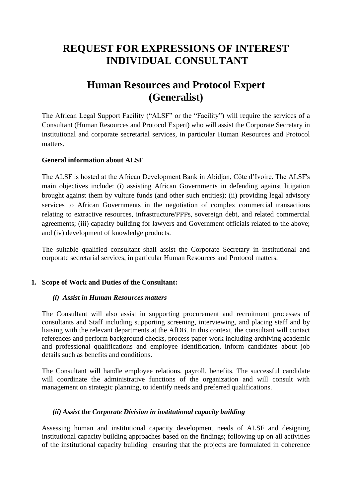# **REQUEST FOR EXPRESSIONS OF INTEREST INDIVIDUAL CONSULTANT**

# **Human Resources and Protocol Expert (Generalist)**

The African Legal Support Facility ("ALSF" or the "Facility") will require the services of a Consultant (Human Resources and Protocol Expert) who will assist the Corporate Secretary in institutional and corporate secretarial services, in particular Human Resources and Protocol matters.

## **General information about ALSF**

The ALSF is hosted at the African Development Bank in Abidjan, Côte d'Ivoire. The ALSF's main objectives include: (i) assisting African Governments in defending against litigation brought against them by vulture funds (and other such entities); (ii) providing legal advisory services to African Governments in the negotiation of complex commercial transactions relating to extractive resources, infrastructure/PPPs, sovereign debt, and related commercial agreements; (iii) capacity building for lawyers and Government officials related to the above; and (iv) development of knowledge products.

The suitable qualified consultant shall assist the Corporate Secretary in institutional and corporate secretarial services, in particular Human Resources and Protocol matters.

## **1. Scope of Work and Duties of the Consultant:**

#### *(i) Assist in Human Resources matters*

The Consultant will also assist in supporting procurement and recruitment processes of consultants and Staff including supporting screening, interviewing, and placing staff and by liaising with the relevant departments at the AfDB. In this context, the consultant will contact references and perform background checks, process paper work including archiving academic and professional qualifications and employee identification, inform candidates about job details such as benefits and conditions.

The Consultant will handle employee relations, payroll, benefits. The successful candidate will coordinate the administrative functions of the organization and will consult with management on strategic planning, to identify needs and preferred qualifications.

## *(ii) Assist the Corporate Division in institutional capacity building*

Assessing human and institutional capacity development needs of ALSF and designing institutional capacity building approaches based on the findings; following up on all activities of the institutional capacity building ensuring that the projects are formulated in coherence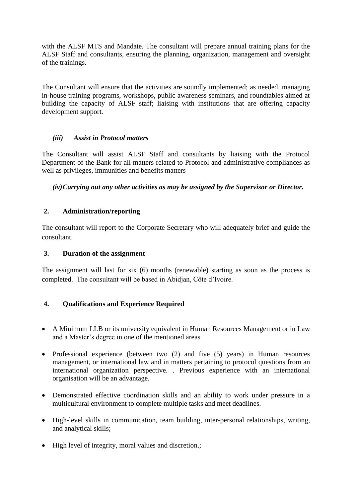with the ALSF MTS and Mandate. The consultant will prepare annual training plans for the ALSF Staff and consultants, ensuring the planning, organization, management and oversight of the trainings.

The Consultant will ensure that the activities are soundly implemented; as needed, managing in-house training programs, workshops, public awareness seminars, and roundtables aimed at building the capacity of ALSF staff; liaising with institutions that are offering capacity development support.

# *(iii) Assist in Protocol matters*

The Consultant will assist ALSF Staff and consultants by liaising with the Protocol Department of the Bank for all matters related to Protocol and administrative compliances as well as privileges, immunities and benefits matters

*(iv)Carrying out any other activities as may be assigned by the Supervisor or Director.*

# **2. Administration/reporting**

The consultant will report to the Corporate Secretary who will adequately brief and guide the consultant.

## **3. Duration of the assignment**

The assignment will last for six (6) months (renewable) starting as soon as the process is completed. The consultant will be based in Abidjan, Côte d'Ivoire.

# **4. Qualifications and Experience Required**

- A Minimum LLB or its university equivalent in Human Resources Management or in Law and a Master's degree in one of the mentioned areas
- Professional experience (between two (2) and five (5) years) in Human resources management, or international law and in matters pertaining to protocol questions from an international organization perspective. . Previous experience with an international organisation will be an advantage.
- Demonstrated effective coordination skills and an ability to work under pressure in a multicultural environment to complete multiple tasks and meet deadlines.
- High-level skills in communication, team building, inter-personal relationships, writing, and analytical skills;
- High level of integrity, moral values and discretion.: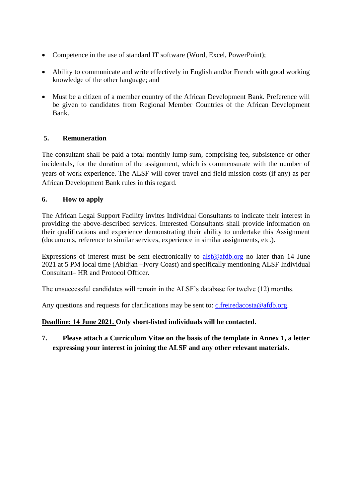- Competence in the use of standard IT software (Word, Excel, PowerPoint);
- Ability to communicate and write effectively in English and/or French with good working knowledge of the other language; and
- Must be a citizen of a member country of the African Development Bank. Preference will be given to candidates from Regional Member Countries of the African Development Bank.

# **5. Remuneration**

The consultant shall be paid a total monthly lump sum, comprising fee, subsistence or other incidentals, for the duration of the assignment, which is commensurate with the number of years of work experience. The ALSF will cover travel and field mission costs (if any) as per African Development Bank rules in this regard.

# **6. How to apply**

The African Legal Support Facility invites Individual Consultants to indicate their interest in providing the above-described services. Interested Consultants shall provide information on their qualifications and experience demonstrating their ability to undertake this Assignment (documents, reference to similar services, experience in similar assignments, etc.).

Expressions of interest must be sent electronically to  $\frac{alsf@afdb.org}{s}$  $\frac{alsf@afdb.org}{s}$  $\frac{alsf@afdb.org}{s}$  no later than 14 June 2021 at 5 PM local time (Abidjan –Ivory Coast) and specifically mentioning ALSF Individual Consultant– HR and Protocol Officer.

The unsuccessful candidates will remain in the ALSF's database for twelve (12) months.

Any questions and requests for clarifications may be sent to:  $c$ . freiredacosta@afdb.org.

## **Deadline: 14 June 2021. Only short-listed individuals will be contacted.**

**7. Please attach a Curriculum Vitae on the basis of the template in Annex 1, a letter expressing your interest in joining the ALSF and any other relevant materials.**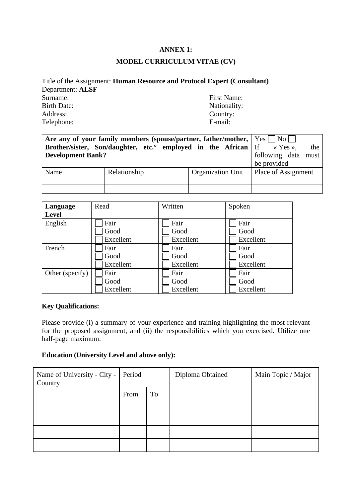## **ANNEX 1:**

#### **MODEL CURRICULUM VITAE (CV)**

| Title of the Assignment: <b>Human Resource and Protocol Expert (Consultant)</b> |
|---------------------------------------------------------------------------------|
|                                                                                 |
| First Name:                                                                     |
| Nationality:                                                                    |
| Country:                                                                        |
| E-mail:                                                                         |
|                                                                                 |

| Are any of your family members (spouse/partner, father/mother, $ $ Yes $ $ No $ $ |                                                                                    |                     |                     |
|-----------------------------------------------------------------------------------|------------------------------------------------------------------------------------|---------------------|---------------------|
|                                                                                   | <b>Brother/sister, Son/daughter, etc.</b> employed in the African If $\alpha$ Yes. |                     | the                 |
| <b>Development Bank?</b>                                                          |                                                                                    | following data must |                     |
|                                                                                   |                                                                                    |                     | be provided         |
| Name                                                                              | Relationship                                                                       | Organization Unit   | Place of Assignment |
|                                                                                   |                                                                                    |                     |                     |
|                                                                                   |                                                                                    |                     |                     |

| Language        | Read      | Written   | Spoken    |
|-----------------|-----------|-----------|-----------|
| <b>Level</b>    |           |           |           |
| English         | Fair      | Fair      | Fair      |
|                 | Good      | Good      | Good      |
|                 | Excellent | Excellent | Excellent |
| French          | Fair      | Fair      | Fair      |
|                 | Good      | Good      | Good      |
|                 | Excellent | Excellent | Excellent |
| Other (specify) | Fair      | Fair      | Fair      |
|                 | Good      | Good      | Good      |
|                 | Excellent | Excellent | Excellent |

# **Key Qualifications:**

Please provide (i) a summary of your experience and training highlighting the most relevant for the proposed assignment, and (ii) the responsibilities which you exercised. Utilize one half-page maximum.

# **Education (University Level and above only):**

| Name of University - City -<br>Country | Period |    | Diploma Obtained | Main Topic / Major |
|----------------------------------------|--------|----|------------------|--------------------|
|                                        | From   | To |                  |                    |
|                                        |        |    |                  |                    |
|                                        |        |    |                  |                    |
|                                        |        |    |                  |                    |
|                                        |        |    |                  |                    |